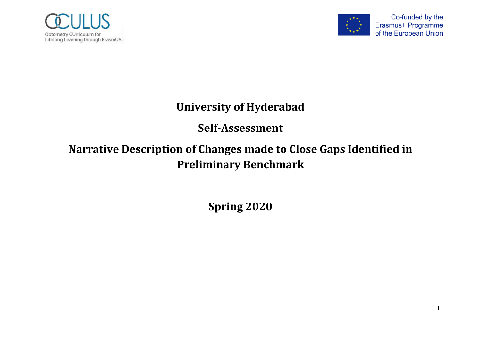



## **University of Hyderabad**

## **Self-Assessment**

## **Narrative Description of Changes made to Close Gaps Identified in Preliminary Benchmark**

**Spring 2020**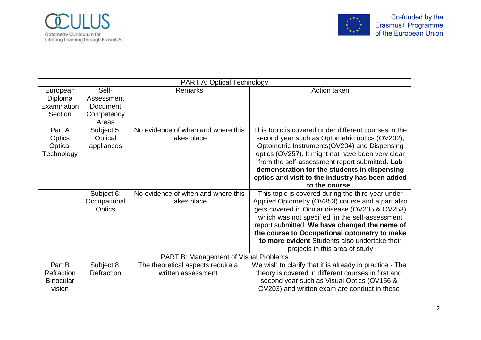



| <b>PART A: Optical Technology</b> |                                       |                                    |                                                         |
|-----------------------------------|---------------------------------------|------------------------------------|---------------------------------------------------------|
| Self-<br>Remarks<br>European      |                                       |                                    | Action taken                                            |
| Diploma<br>Assessment             |                                       |                                    |                                                         |
| Examination                       | <b>Document</b>                       |                                    |                                                         |
| Section                           | Competency                            |                                    |                                                         |
|                                   | Areas                                 |                                    |                                                         |
| Part A                            | Subject 5:                            | No evidence of when and where this | This topic is covered under different courses in the    |
| Optics                            | Optical                               | takes place                        | second year such as Optometric optics (OV202),          |
| Optical                           | appliances                            |                                    | Optometric Instruments(OV204) and Dispensing            |
| Technology                        |                                       |                                    | optics (OV257). It might not have been very clear       |
|                                   |                                       |                                    | from the self-assessment report submitted. Lab          |
|                                   |                                       |                                    | demonstration for the students in dispensing            |
|                                   |                                       |                                    | optics and visit to the industry has been added         |
|                                   |                                       |                                    | to the course.                                          |
|                                   | Subject 6:                            | No evidence of when and where this | This topic is covered during the third year under       |
|                                   | Occupational                          | takes place                        | Applied Optometry (OV353) course and a part also        |
|                                   | Optics                                |                                    | gets covered in Ocular disease (OV205 & OV253)          |
|                                   |                                       |                                    | which was not specified in the self-assessment          |
|                                   |                                       |                                    | report submitted. We have changed the name of           |
|                                   |                                       |                                    | the course to Occupational optometry to make            |
|                                   |                                       |                                    | to more evident Students also undertake their           |
|                                   |                                       |                                    | projects in this area of study                          |
|                                   | PART B: Management of Visual Problems |                                    |                                                         |
| Part B                            | Subject 8:                            | The theoretical aspects require a  | We wish to clarify that it is already in practice - The |
| Refraction                        | Refraction                            | written assessment                 | theory is covered in different courses in first and     |
| <b>Binocular</b>                  |                                       |                                    | second year such as Visual Optics (OV156 &              |
| vision                            |                                       |                                    | OV203) and written exam are conduct in these            |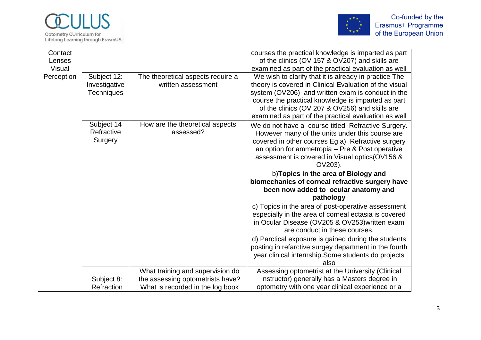



| Contact<br>Lenses |                   |                                   | courses the practical knowledge is imparted as part<br>of the clinics (OV 157 & OV207) and skills are |
|-------------------|-------------------|-----------------------------------|-------------------------------------------------------------------------------------------------------|
| <b>Visual</b>     |                   |                                   | examined as part of the practical evaluation as well                                                  |
| Perception        | Subject 12:       | The theoretical aspects require a | We wish to clarify that it is already in practice The                                                 |
|                   | Investigative     | written assessment                | theory is covered in Clinical Evaluation of the visual                                                |
|                   | <b>Techniques</b> |                                   | system (OV206) and written exam is conduct in the                                                     |
|                   |                   |                                   | course the practical knowledge is imparted as part                                                    |
|                   |                   |                                   | of the clinics (OV 207 & OV256) and skills are                                                        |
|                   |                   |                                   | examined as part of the practical evaluation as well                                                  |
|                   | Subject 14        | How are the theoretical aspects   | We do not have a course titled Refractive Surgery.                                                    |
|                   | Refractive        | assessed?                         | However many of the units under this course are                                                       |
|                   | Surgery           |                                   | covered in other courses Eg a) Refractive surgery                                                     |
|                   |                   |                                   | an option for ammetropia - Pre & Post operative                                                       |
|                   |                   |                                   | assessment is covered in Visual optics(OV156 &                                                        |
|                   |                   |                                   | OV203).                                                                                               |
|                   |                   |                                   |                                                                                                       |
|                   |                   |                                   | b) Topics in the area of Biology and                                                                  |
|                   |                   |                                   | biomechanics of corneal refractive surgery have                                                       |
|                   |                   |                                   | been now added to ocular anatomy and                                                                  |
|                   |                   |                                   | pathology                                                                                             |
|                   |                   |                                   | c) Topics in the area of post-operative assessment                                                    |
|                   |                   |                                   | especially in the area of corneal ectasia is covered                                                  |
|                   |                   |                                   | in Ocular Disease (OV205 & OV253) written exam                                                        |
|                   |                   |                                   | are conduct in these courses.                                                                         |
|                   |                   |                                   | d) Parctical exposure is gained during the students                                                   |
|                   |                   |                                   | posting in refarctive surgey department in the fourth                                                 |
|                   |                   |                                   | year clinical internship. Some students do projects<br>also                                           |
|                   |                   | What training and supervision do  | Assessing optometrist at the University (Clinical                                                     |
|                   | Subject 8:        | the assessing optometrists have?  | Instructor) generally has a Masters degree in                                                         |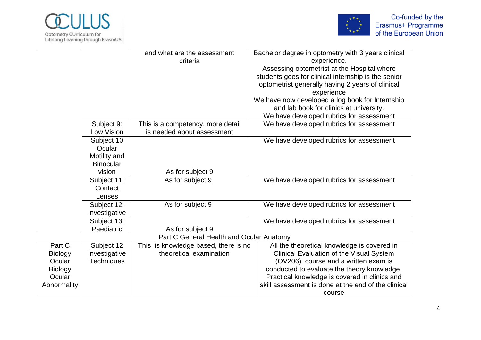



|                |                   | and what are the assessment              | Bachelor degree in optometry with 3 years clinical  |
|----------------|-------------------|------------------------------------------|-----------------------------------------------------|
|                |                   | criteria                                 | experience.                                         |
|                |                   |                                          | Assessing optometrist at the Hospital where         |
|                |                   |                                          | students goes for clinical internship is the senior |
|                |                   |                                          | optometrist generally having 2 years of clinical    |
|                |                   |                                          | experience                                          |
|                |                   |                                          | We have now developed a log book for Internship     |
|                |                   |                                          | and lab book for clinics at university.             |
|                |                   |                                          | We have developed rubrics for assessment            |
|                | Subject 9:        | This is a competency, more detail        | We have developed rubrics for assessment            |
|                | Low Vision        | is needed about assessment               |                                                     |
|                | Subject 10        |                                          | We have developed rubrics for assessment            |
|                | Ocular            |                                          |                                                     |
|                | Motility and      |                                          |                                                     |
|                | <b>Binocular</b>  |                                          |                                                     |
| vision         |                   | As for subject 9                         |                                                     |
| Subject 11:    |                   | As for subject 9                         | We have developed rubrics for assessment            |
| Contact        |                   |                                          |                                                     |
|                | Lenses            |                                          |                                                     |
| Subject 12:    |                   | As for subject 9                         | We have developed rubrics for assessment            |
| Investigative  |                   |                                          |                                                     |
|                | Subject 13:       |                                          | We have developed rubrics for assessment            |
|                | Paediatric        | As for subject 9                         |                                                     |
|                |                   | Part C General Health and Ocular Anatomy |                                                     |
| Part C         | Subject 12        | This is knowledge based, there is no     | All the theoretical knowledge is covered in         |
| <b>Biology</b> | Investigative     | theoretical examination                  | Clinical Evaluation of the Visual System            |
| Ocular         | <b>Techniques</b> |                                          | (OV206) course and a written exam is                |
| <b>Biology</b> |                   |                                          | conducted to evaluate the theory knowledge.         |
| Ocular         |                   |                                          | Practical knowledge is covered in clinics and       |
| Abnormality    |                   |                                          | skill assessment is done at the end of the clinical |
|                |                   |                                          | course                                              |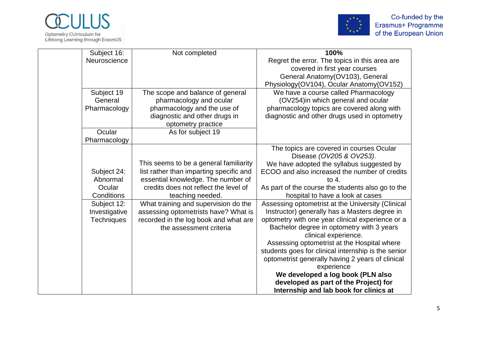



| Subject 16:       | Not completed                           | 100%                                                |
|-------------------|-----------------------------------------|-----------------------------------------------------|
| Neuroscience      |                                         | Regret the error. The topics in this area are       |
|                   |                                         | covered in first year courses                       |
|                   |                                         | General Anatomy(OV103), General                     |
|                   |                                         | Physiology(OV104), Ocular Anatomy(OV152)            |
| Subject 19        | The scope and balance of general        | We have a course called Pharmacology                |
| General           | pharmacology and ocular                 | (OV254)in which general and ocular                  |
| Pharmacology      | pharmacology and the use of             | pharmacology topics are covered along with          |
|                   | diagnostic and other drugs in           | diagnostic and other drugs used in optometry        |
|                   | optometry practice                      |                                                     |
| Ocular            | As for subject 19                       |                                                     |
| Pharmacology      |                                         |                                                     |
|                   |                                         | The topics are covered in courses Ocular            |
|                   |                                         | Disease (OV205 & OV253).                            |
|                   | This seems to be a general familiarity  | We have adopted the syllabus suggested by           |
| Subject 24:       | list rather than imparting specific and | ECOO and also increased the number of credits       |
| Abnormal          | essential knowledge. The number of      | to $4.$                                             |
| Ocular            | credits does not reflect the level of   | As part of the course the students also go to the   |
| Conditions        | teaching needed.                        | hospital to have a look at cases                    |
| Subject 12:       | What training and supervision do the    | Assessing optometrist at the University (Clinical   |
| Investigative     | assessing optometrists have? What is    | Instructor) generally has a Masters degree in       |
| <b>Techniques</b> | recorded in the log book and what are   | optometry with one year clinical experience or a    |
|                   | the assessment criteria                 | Bachelor degree in optometry with 3 years           |
|                   |                                         | clinical experience.                                |
|                   |                                         | Assessing optometrist at the Hospital where         |
|                   |                                         | students goes for clinical internship is the senior |
|                   |                                         | optometrist generally having 2 years of clinical    |
|                   |                                         | experience                                          |
|                   |                                         | We developed a log book (PLN also                   |
|                   |                                         | developed as part of the Project) for               |
|                   |                                         | Internship and lab book for clinics at              |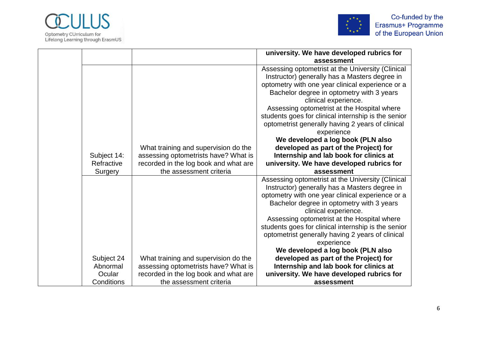



|             |                                       | university. We have developed rubrics for                                                          |
|-------------|---------------------------------------|----------------------------------------------------------------------------------------------------|
|             |                                       | assessment                                                                                         |
|             |                                       | Assessing optometrist at the University (Clinical<br>Instructor) generally has a Masters degree in |
|             |                                       | optometry with one year clinical experience or a                                                   |
|             |                                       | Bachelor degree in optometry with 3 years<br>clinical experience.                                  |
|             |                                       | Assessing optometrist at the Hospital where                                                        |
|             |                                       | students goes for clinical internship is the senior                                                |
|             |                                       | optometrist generally having 2 years of clinical                                                   |
|             |                                       | experience                                                                                         |
|             |                                       | We developed a log book (PLN also                                                                  |
|             | What training and supervision do the  | developed as part of the Project) for                                                              |
| Subject 14: | assessing optometrists have? What is  | Internship and lab book for clinics at                                                             |
| Refractive  | recorded in the log book and what are | university. We have developed rubrics for                                                          |
|             |                                       |                                                                                                    |
| Surgery     | the assessment criteria               | assessment                                                                                         |
|             |                                       | Assessing optometrist at the University (Clinical                                                  |
|             |                                       | Instructor) generally has a Masters degree in                                                      |
|             |                                       | optometry with one year clinical experience or a                                                   |
|             |                                       | Bachelor degree in optometry with 3 years<br>clinical experience.                                  |
|             |                                       | Assessing optometrist at the Hospital where                                                        |
|             |                                       | students goes for clinical internship is the senior                                                |
|             |                                       | optometrist generally having 2 years of clinical                                                   |
|             |                                       | experience                                                                                         |
|             |                                       | We developed a log book (PLN also                                                                  |
| Subject 24  | What training and supervision do the  | developed as part of the Project) for                                                              |
| Abnormal    | assessing optometrists have? What is  | Internship and lab book for clinics at                                                             |
| Ocular      | recorded in the log book and what are | university. We have developed rubrics for                                                          |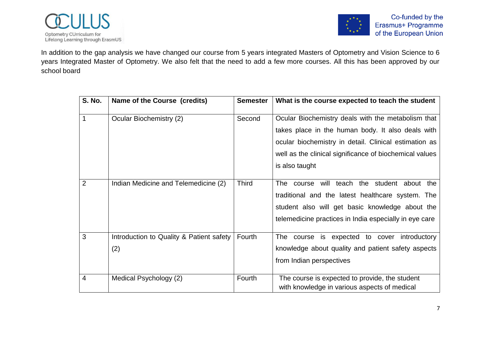

In addition to the gap analysis we have changed our course from 5 years integrated Masters of Optometry and Vision Science to 6 years Integrated Master of Optometry. We also felt that the need to add a few more courses. All this has been approved by our school board

| <b>S. No.</b>  | Name of the Course (credits)                    | <b>Semester</b> | What is the course expected to teach the student                                                                                                                                                                                              |
|----------------|-------------------------------------------------|-----------------|-----------------------------------------------------------------------------------------------------------------------------------------------------------------------------------------------------------------------------------------------|
| 1              | Ocular Biochemistry (2)                         | Second          | Ocular Biochemistry deals with the metabolism that<br>takes place in the human body. It also deals with<br>ocular biochemistry in detail. Clinical estimation as<br>well as the clinical significance of biochemical values<br>is also taught |
| $\overline{2}$ | Indian Medicine and Telemedicine (2)            | <b>Third</b>    | The course will teach the student about the<br>traditional and the latest healthcare system. The<br>student also will get basic knowledge about the<br>telemedicine practices in India especially in eye care                                 |
| 3              | Introduction to Quality & Patient safety<br>(2) | Fourth          | The course is expected to cover introductory<br>knowledge about quality and patient safety aspects<br>from Indian perspectives                                                                                                                |
| 4              | Medical Psychology (2)                          | Fourth          | The course is expected to provide, the student<br>with knowledge in various aspects of medical                                                                                                                                                |